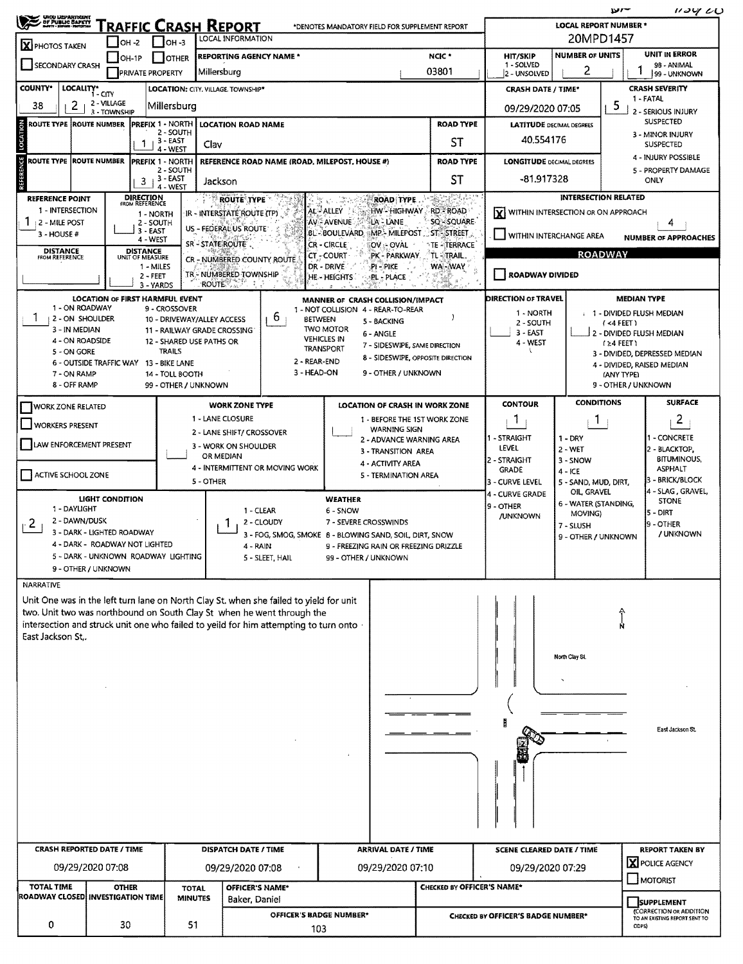| <b>RAFFIC CRASH REPORT</b><br>*DENOTES MANDATORY FIELD FOR SUPPLEMENT REPORT<br>20MPD1457<br>LOCAL INFORMATION<br>$IOH -2$<br>∣ ∣он -з<br>X PHOTOS TAKEN<br>UNIT IN ERROR<br><b>NUMBER OF UNITS</b><br>NCIC <sup>*</sup><br><b>HIT/SKIP</b><br><b>REPORTING AGENCY NAME *</b><br>$JOH-1P$<br><b>I</b> OTHER<br>1 - SOLVED<br>98 - ANIMAL<br>SECONDARY CRASH<br>2<br>03801<br>Millersburg<br><b>PRIVATE PROPERTY</b><br>2 - UNSOLVED<br>99 - UNKNOWN<br><b>COUNTY*</b><br>LOCALITY*<br><b>CRASH SEVERITY</b><br>LOCATION: CITY. VILLAGE TOWNSHIP*<br><b>CRASH DATE / TIME*</b><br>$1 - CITY$<br>1 - FATAL<br>2 - VILLAGE<br>5<br>2<br>38<br>Millersburg<br>09/29/2020 07:05<br>2 - SERIOUS INJURY<br>3 - TOWNSHIP<br>SUSPECTED<br>LOCATION<br><b>PREFIX 1 - NORTH</b><br><b>ROAD TYPE</b><br><b>ROUTE TYPE ROUTE NUMBER</b><br><b>LOCATION ROAD NAME</b><br><b>LATITUDE DECIMAL DEGREES</b><br>2 - SOUTH<br>3 - MINOR INJURY<br>40.554176<br>$3 - EAST$<br>ST<br>Clav<br><b>SUSPECTED</b><br>4 - WEST<br>4 - INJURY POSSIBLE<br><b>REFERENCE</b><br><b>ROUTE TYPE</b><br><b>ROUTE NUMBER</b><br><b>ROAD TYPE</b><br><b>PREFIX 1 - NORTH</b><br>REFERENCE ROAD NAME (ROAD, MILEPOST, HOUSE #)<br><b>LONGITUDE DECIMAL DEGREES</b><br>2 - SOUTH<br>5 - PROPERTY DAMAGE<br>-81.917328<br>$3 + 3 - EAST$<br>SΤ<br>ONLY<br>Jackson<br>4 - WEST<br><b>INTERSECTION RELATED</b><br><b>DIRECTION</b><br>FROM REFERENCE<br><b>REFERENCE POINT</b><br><b>ROUTE TYPE</b><br><b>ROAD TYPE</b><br>1 - INTERSECTION<br>AL - ALLEY<br>HW-HIGHWAY<br><b>RD - ROAD</b><br>ΙXΙ<br>WITHIN INTERSECTION OR ON APPROACH<br>IR - INTERSTATE ROUTE (TP)<br>1 - NORTH<br>SO-SOUARE<br>AV - AVENUE<br>LA - LANE<br><b>2-MILE POST</b><br>2 - SOUTH<br>4<br>US - FEDERAL US ROUTE<br>3 - EAST<br>BL-BOULEVARD = MP- MILEPOST ST-STREET<br>$3 - HOUSE#$<br>WITHIN INTERCHANGE AREA<br><b>NUMBER OF APPROACHES</b><br>4 - WEST<br>SR-STATEROUTE.<br>CR - CIRCLE <sup>-</sup><br><b>OV A-OVAL</b><br><b>TE -TERRACE</b><br><b>DISTANCE</b><br><b>DISTANCE</b><br><b>ROADWAY</b><br>CT - COURT<br>PK - PARKWAY<br>TL-TRAIL,<br>FROM REFERENCE<br>UNIT OF MEASURE<br>CR - NUMBERED COUNTY ROUTE<br>WA-WAY<br>1 - MILES<br>DR - DRIVE<br>PI-PIKE<br>TR - NUMBERED TOWNSHIP<br>    ROADWAY DIVIDED<br>$2 - FEET$<br>HE-HEIGHTS<br><b>PL - PLACE</b><br><b>ROUTE AND PROPERTY</b><br>3 - YARDS<br><b>DIRECTION OF TRAVEL</b><br><b>MEDIAN TYPE</b><br>LOCATION OF FIRST HARMFUL EVENT<br>MANNER OF CRASH COLLISION/IMPACT<br>1 - ON ROADWAY<br>9 - CROSSOVER<br>1 - NOT COLLISION 4 - REAR-TO-REAR<br>1 - NORTH<br>1 - DIVIDED FLUSH MEDIAN<br>b<br>2 - ON SHOULDER<br><b>BETWEEN</b><br>10 - DRIVEWAY/ALLEY ACCESS<br>5 - BACKING<br>2 - SOUTH<br>(4 FERT)<br><b>TWO MOTOR</b><br>3 - IN MEDIAN<br>11 - RAILWAY GRADE CROSSING<br>3 - EAST<br>2 - DIVIDED FLUSH MEDIAN<br>6 - ANGLE<br><b>VEHICLES IN</b><br>4 - ON ROADSIDE<br>12 - SHARED USE PATHS OR<br>4 - WEST<br>$(24$ FEET)<br>7 - SIDESWIPE, SAME DIRECTION<br><b>TRANSPORT</b><br><b>TRAILS</b><br>5 - ON GORE<br>3 - DIVIDED, DEPRESSED MEDIAN<br>8 - SIDESWIPE, OPPOSITE DIRECTION<br>2 - REAR-END<br>6 - OUTSIDE TRAFFIC WAY 13 - BIKE LANE<br>4 - DIVIDED, RAISED MEDIAN<br>3 - HEAD-ON<br>9 - OTHER / UNKNOWN<br>7 - ON RAMP<br>14 - TOLL BOOTH<br>(ANY TYPE)<br>8 - OFF RAMP<br>9 - OTHER / UNKNOWN<br>99 - OTHER / UNKNOWN<br><b>CONDITIONS</b><br><b>SURFACE</b><br><b>CONTOUR</b><br><b>WORK ZONE TYPE</b><br>LOCATION OF CRASH IN WORK ZONE<br><b>WORK ZONE RELATED</b><br>1 - LANE CLOSURE<br>2<br>1 - BEFORE THE 1ST WORK ZONE<br>л.<br>$\mathbf{I}$<br>VORKERS PRESENT<br><b>WARNING SIGN</b><br>2 - LANE SHIFT/ CROSSOVER<br>1 - CONCRETE<br>- STRAIGHT<br>$1 - DRY$<br>2 - ADVANCE WARNING AREA<br>LAW ENFORCEMENT PRESENT<br>3 - WORK ON SHOULDER<br>LEVEL<br>2 - BLACKTOP,<br>2 - WET<br>3 - TRANSITION AREA<br>OR MEDIAN<br><b>BITUMINOUS,</b><br>2 - STRAIGHT<br>3 - SNOW<br>4 - ACTIVITY AREA<br>4 - INTERMITTENT OR MOVING WORK<br><b>ASPHALT</b><br><b>GRADE</b><br>4 - ICE<br>ACTIVE SCHOOL ZONE<br>5 - TERMINATION AREA<br>3 - BRICK/BLOCK<br>5 - OTHER<br>3 - CURVE LEVEL<br>5 - SAND, MUD, DIRT,<br>4 - SLAG, GRAVEL,<br>OIL, GRAVEL<br>4 - CURVE GRADE<br><b>LIGHT CONDITION</b><br><b>WEATHER</b><br><b>STONE</b><br>6 - WATER (STANDING,<br>9 - OTHER<br>1 - DAYLIGHT<br>1 - CLEAR<br>6 - SNOW<br>5 - DIRT<br>MOVING)<br><b>JUNKNOWN</b><br>2 - DAWN/DUSK<br>2 - CLOUDY<br>7 - SEVERE CROSSWINDS<br>Z.<br>9 - OTHER<br>7 - SLUSH<br>3 - DARK - LIGHTED ROADWAY<br>/ UNKNOWN<br>3 - FOG, SMOG, SMOKE 8 - BLOWING SAND, SOIL, DIRT, SNOW<br>9 - OTHER / UNKNOWN<br>4 - DARK - ROADWAY NOT LIGHTED<br>9 - FREEZING RAIN OR FREEZING DRIZZLE<br>4 - RAIN<br>5 - DARK - UNKNOWN ROADWAY LIGHTING<br>5 - SLEET, HAIL<br>99 - OTHER / UNKNOWN<br>9 - OTHER / UNKNOWN<br><b>NARRATIVE</b><br>Unit One was in the left turn lane on North Clay St, when she failed to yield for unit<br>two. Unit two was northbound on South Clay St when he went through the<br>intersection and struck unit one who failed to yeild for him attempting to turn onto<br>East Jackson St<br>North Clay St.<br>East Jackson St.<br><b>CRASH REPORTED DATE / TIME</b><br><b>DISPATCH DATE / TIME</b><br><b>ARRIVAL DATE / TIME</b><br><b>REPORT TAKEN BY</b><br><b>SCENE CLEARED DATE / TIME</b><br>X POLICE AGENCY<br>09/29/2020 07:08<br>09/29/2020 07:10<br>09/29/2020 07:08<br>09/29/2020 07:29<br>MOTORIST<br><b>TOTAL TIME</b><br>CHECKED BY OFFICER'S NAME*<br><b>OFFICER'S NAME*</b><br><b>OTHER</b><br><b>TOTAL</b><br><b>ROADWAY CLOSED INVESTIGATION TIME</b><br><b>MINUTES</b><br>Baker, Daniel<br><b>SUPPLEMENT</b><br><b>(CORRECTION OR ADDITION</b><br>OFFICER'S BADGE NUMBER*<br>CHECKED BY OFFICER'S BADGE NUMBER*<br>TO AN EXISTING REPORT SENT TO | UHO UZPARTNENT |  |  |  |  |  |  |                              |  |  | ייש   | 1134CO |  |  |  |  |
|-------------------------------------------------------------------------------------------------------------------------------------------------------------------------------------------------------------------------------------------------------------------------------------------------------------------------------------------------------------------------------------------------------------------------------------------------------------------------------------------------------------------------------------------------------------------------------------------------------------------------------------------------------------------------------------------------------------------------------------------------------------------------------------------------------------------------------------------------------------------------------------------------------------------------------------------------------------------------------------------------------------------------------------------------------------------------------------------------------------------------------------------------------------------------------------------------------------------------------------------------------------------------------------------------------------------------------------------------------------------------------------------------------------------------------------------------------------------------------------------------------------------------------------------------------------------------------------------------------------------------------------------------------------------------------------------------------------------------------------------------------------------------------------------------------------------------------------------------------------------------------------------------------------------------------------------------------------------------------------------------------------------------------------------------------------------------------------------------------------------------------------------------------------------------------------------------------------------------------------------------------------------------------------------------------------------------------------------------------------------------------------------------------------------------------------------------------------------------------------------------------------------------------------------------------------------------------------------------------------------------------------------------------------------------------------------------------------------------------------------------------------------------------------------------------------------------------------------------------------------------------------------------------------------------------------------------------------------------------------------------------------------------------------------------------------------------------------------------------------------------------------------------------------------------------------------------------------------------------------------------------------------------------------------------------------------------------------------------------------------------------------------------------------------------------------------------------------------------------------------------------------------------------------------------------------------------------------------------------------------------------------------------------------------------------------------------------------------------------------------------------------------------------------------------------------------------------------------------------------------------------------------------------------------------------------------------------------------------------------------------------------------------------------------------------------------------------------------------------------------------------------------------------------------------------------------------------------------------------------------------------------------------------------------------------------------------------------------------------------------------------------------------------------------------------------------------------------------------------------------------------------------------------------------------------------------------------------------------------------------------------------------------------------------------------------------------------------------------------------------------------------------------------------------------------------------------------------------------------------------------------------------------------------------------------------------------------------------------------------------------------------------------------------------------------------------------------------------------------------------------------------------------------------------------------------------------------------------------------------------------------------------------------------------------------------------------------------------------------------------------------------------------------------------------------------------------------------------------------------------------------------------------------------------------------------------------------------------------------------------------------------------------------------------------------------------------------------------------------------------------------------------------------------------------|----------------|--|--|--|--|--|--|------------------------------|--|--|-------|--------|--|--|--|--|
|                                                                                                                                                                                                                                                                                                                                                                                                                                                                                                                                                                                                                                                                                                                                                                                                                                                                                                                                                                                                                                                                                                                                                                                                                                                                                                                                                                                                                                                                                                                                                                                                                                                                                                                                                                                                                                                                                                                                                                                                                                                                                                                                                                                                                                                                                                                                                                                                                                                                                                                                                                                                                                                                                                                                                                                                                                                                                                                                                                                                                                                                                                                                                                                                                                                                                                                                                                                                                                                                                                                                                                                                                                                                                                                                                                                                                                                                                                                                                                                                                                                                                                                                                                                                                                                                                                                                                                                                                                                                                                                                                                                                                                                                                                                                                                                                                                                                                                                                                                                                                                                                                                                                                                                                                                                                                                                                                                                                                                                                                                                                                                                                                                                                                                                                                                                                 |                |  |  |  |  |  |  | <b>LOCAL REPORT NUMBER *</b> |  |  |       |        |  |  |  |  |
|                                                                                                                                                                                                                                                                                                                                                                                                                                                                                                                                                                                                                                                                                                                                                                                                                                                                                                                                                                                                                                                                                                                                                                                                                                                                                                                                                                                                                                                                                                                                                                                                                                                                                                                                                                                                                                                                                                                                                                                                                                                                                                                                                                                                                                                                                                                                                                                                                                                                                                                                                                                                                                                                                                                                                                                                                                                                                                                                                                                                                                                                                                                                                                                                                                                                                                                                                                                                                                                                                                                                                                                                                                                                                                                                                                                                                                                                                                                                                                                                                                                                                                                                                                                                                                                                                                                                                                                                                                                                                                                                                                                                                                                                                                                                                                                                                                                                                                                                                                                                                                                                                                                                                                                                                                                                                                                                                                                                                                                                                                                                                                                                                                                                                                                                                                                                 |                |  |  |  |  |  |  |                              |  |  |       |        |  |  |  |  |
|                                                                                                                                                                                                                                                                                                                                                                                                                                                                                                                                                                                                                                                                                                                                                                                                                                                                                                                                                                                                                                                                                                                                                                                                                                                                                                                                                                                                                                                                                                                                                                                                                                                                                                                                                                                                                                                                                                                                                                                                                                                                                                                                                                                                                                                                                                                                                                                                                                                                                                                                                                                                                                                                                                                                                                                                                                                                                                                                                                                                                                                                                                                                                                                                                                                                                                                                                                                                                                                                                                                                                                                                                                                                                                                                                                                                                                                                                                                                                                                                                                                                                                                                                                                                                                                                                                                                                                                                                                                                                                                                                                                                                                                                                                                                                                                                                                                                                                                                                                                                                                                                                                                                                                                                                                                                                                                                                                                                                                                                                                                                                                                                                                                                                                                                                                                                 |                |  |  |  |  |  |  |                              |  |  |       |        |  |  |  |  |
|                                                                                                                                                                                                                                                                                                                                                                                                                                                                                                                                                                                                                                                                                                                                                                                                                                                                                                                                                                                                                                                                                                                                                                                                                                                                                                                                                                                                                                                                                                                                                                                                                                                                                                                                                                                                                                                                                                                                                                                                                                                                                                                                                                                                                                                                                                                                                                                                                                                                                                                                                                                                                                                                                                                                                                                                                                                                                                                                                                                                                                                                                                                                                                                                                                                                                                                                                                                                                                                                                                                                                                                                                                                                                                                                                                                                                                                                                                                                                                                                                                                                                                                                                                                                                                                                                                                                                                                                                                                                                                                                                                                                                                                                                                                                                                                                                                                                                                                                                                                                                                                                                                                                                                                                                                                                                                                                                                                                                                                                                                                                                                                                                                                                                                                                                                                                 |                |  |  |  |  |  |  |                              |  |  |       |        |  |  |  |  |
|                                                                                                                                                                                                                                                                                                                                                                                                                                                                                                                                                                                                                                                                                                                                                                                                                                                                                                                                                                                                                                                                                                                                                                                                                                                                                                                                                                                                                                                                                                                                                                                                                                                                                                                                                                                                                                                                                                                                                                                                                                                                                                                                                                                                                                                                                                                                                                                                                                                                                                                                                                                                                                                                                                                                                                                                                                                                                                                                                                                                                                                                                                                                                                                                                                                                                                                                                                                                                                                                                                                                                                                                                                                                                                                                                                                                                                                                                                                                                                                                                                                                                                                                                                                                                                                                                                                                                                                                                                                                                                                                                                                                                                                                                                                                                                                                                                                                                                                                                                                                                                                                                                                                                                                                                                                                                                                                                                                                                                                                                                                                                                                                                                                                                                                                                                                                 |                |  |  |  |  |  |  |                              |  |  |       |        |  |  |  |  |
|                                                                                                                                                                                                                                                                                                                                                                                                                                                                                                                                                                                                                                                                                                                                                                                                                                                                                                                                                                                                                                                                                                                                                                                                                                                                                                                                                                                                                                                                                                                                                                                                                                                                                                                                                                                                                                                                                                                                                                                                                                                                                                                                                                                                                                                                                                                                                                                                                                                                                                                                                                                                                                                                                                                                                                                                                                                                                                                                                                                                                                                                                                                                                                                                                                                                                                                                                                                                                                                                                                                                                                                                                                                                                                                                                                                                                                                                                                                                                                                                                                                                                                                                                                                                                                                                                                                                                                                                                                                                                                                                                                                                                                                                                                                                                                                                                                                                                                                                                                                                                                                                                                                                                                                                                                                                                                                                                                                                                                                                                                                                                                                                                                                                                                                                                                                                 |                |  |  |  |  |  |  |                              |  |  |       |        |  |  |  |  |
|                                                                                                                                                                                                                                                                                                                                                                                                                                                                                                                                                                                                                                                                                                                                                                                                                                                                                                                                                                                                                                                                                                                                                                                                                                                                                                                                                                                                                                                                                                                                                                                                                                                                                                                                                                                                                                                                                                                                                                                                                                                                                                                                                                                                                                                                                                                                                                                                                                                                                                                                                                                                                                                                                                                                                                                                                                                                                                                                                                                                                                                                                                                                                                                                                                                                                                                                                                                                                                                                                                                                                                                                                                                                                                                                                                                                                                                                                                                                                                                                                                                                                                                                                                                                                                                                                                                                                                                                                                                                                                                                                                                                                                                                                                                                                                                                                                                                                                                                                                                                                                                                                                                                                                                                                                                                                                                                                                                                                                                                                                                                                                                                                                                                                                                                                                                                 |                |  |  |  |  |  |  |                              |  |  |       |        |  |  |  |  |
|                                                                                                                                                                                                                                                                                                                                                                                                                                                                                                                                                                                                                                                                                                                                                                                                                                                                                                                                                                                                                                                                                                                                                                                                                                                                                                                                                                                                                                                                                                                                                                                                                                                                                                                                                                                                                                                                                                                                                                                                                                                                                                                                                                                                                                                                                                                                                                                                                                                                                                                                                                                                                                                                                                                                                                                                                                                                                                                                                                                                                                                                                                                                                                                                                                                                                                                                                                                                                                                                                                                                                                                                                                                                                                                                                                                                                                                                                                                                                                                                                                                                                                                                                                                                                                                                                                                                                                                                                                                                                                                                                                                                                                                                                                                                                                                                                                                                                                                                                                                                                                                                                                                                                                                                                                                                                                                                                                                                                                                                                                                                                                                                                                                                                                                                                                                                 |                |  |  |  |  |  |  |                              |  |  |       |        |  |  |  |  |
|                                                                                                                                                                                                                                                                                                                                                                                                                                                                                                                                                                                                                                                                                                                                                                                                                                                                                                                                                                                                                                                                                                                                                                                                                                                                                                                                                                                                                                                                                                                                                                                                                                                                                                                                                                                                                                                                                                                                                                                                                                                                                                                                                                                                                                                                                                                                                                                                                                                                                                                                                                                                                                                                                                                                                                                                                                                                                                                                                                                                                                                                                                                                                                                                                                                                                                                                                                                                                                                                                                                                                                                                                                                                                                                                                                                                                                                                                                                                                                                                                                                                                                                                                                                                                                                                                                                                                                                                                                                                                                                                                                                                                                                                                                                                                                                                                                                                                                                                                                                                                                                                                                                                                                                                                                                                                                                                                                                                                                                                                                                                                                                                                                                                                                                                                                                                 |                |  |  |  |  |  |  |                              |  |  |       |        |  |  |  |  |
|                                                                                                                                                                                                                                                                                                                                                                                                                                                                                                                                                                                                                                                                                                                                                                                                                                                                                                                                                                                                                                                                                                                                                                                                                                                                                                                                                                                                                                                                                                                                                                                                                                                                                                                                                                                                                                                                                                                                                                                                                                                                                                                                                                                                                                                                                                                                                                                                                                                                                                                                                                                                                                                                                                                                                                                                                                                                                                                                                                                                                                                                                                                                                                                                                                                                                                                                                                                                                                                                                                                                                                                                                                                                                                                                                                                                                                                                                                                                                                                                                                                                                                                                                                                                                                                                                                                                                                                                                                                                                                                                                                                                                                                                                                                                                                                                                                                                                                                                                                                                                                                                                                                                                                                                                                                                                                                                                                                                                                                                                                                                                                                                                                                                                                                                                                                                 |                |  |  |  |  |  |  |                              |  |  |       |        |  |  |  |  |
|                                                                                                                                                                                                                                                                                                                                                                                                                                                                                                                                                                                                                                                                                                                                                                                                                                                                                                                                                                                                                                                                                                                                                                                                                                                                                                                                                                                                                                                                                                                                                                                                                                                                                                                                                                                                                                                                                                                                                                                                                                                                                                                                                                                                                                                                                                                                                                                                                                                                                                                                                                                                                                                                                                                                                                                                                                                                                                                                                                                                                                                                                                                                                                                                                                                                                                                                                                                                                                                                                                                                                                                                                                                                                                                                                                                                                                                                                                                                                                                                                                                                                                                                                                                                                                                                                                                                                                                                                                                                                                                                                                                                                                                                                                                                                                                                                                                                                                                                                                                                                                                                                                                                                                                                                                                                                                                                                                                                                                                                                                                                                                                                                                                                                                                                                                                                 |                |  |  |  |  |  |  |                              |  |  |       |        |  |  |  |  |
|                                                                                                                                                                                                                                                                                                                                                                                                                                                                                                                                                                                                                                                                                                                                                                                                                                                                                                                                                                                                                                                                                                                                                                                                                                                                                                                                                                                                                                                                                                                                                                                                                                                                                                                                                                                                                                                                                                                                                                                                                                                                                                                                                                                                                                                                                                                                                                                                                                                                                                                                                                                                                                                                                                                                                                                                                                                                                                                                                                                                                                                                                                                                                                                                                                                                                                                                                                                                                                                                                                                                                                                                                                                                                                                                                                                                                                                                                                                                                                                                                                                                                                                                                                                                                                                                                                                                                                                                                                                                                                                                                                                                                                                                                                                                                                                                                                                                                                                                                                                                                                                                                                                                                                                                                                                                                                                                                                                                                                                                                                                                                                                                                                                                                                                                                                                                 |                |  |  |  |  |  |  |                              |  |  |       |        |  |  |  |  |
|                                                                                                                                                                                                                                                                                                                                                                                                                                                                                                                                                                                                                                                                                                                                                                                                                                                                                                                                                                                                                                                                                                                                                                                                                                                                                                                                                                                                                                                                                                                                                                                                                                                                                                                                                                                                                                                                                                                                                                                                                                                                                                                                                                                                                                                                                                                                                                                                                                                                                                                                                                                                                                                                                                                                                                                                                                                                                                                                                                                                                                                                                                                                                                                                                                                                                                                                                                                                                                                                                                                                                                                                                                                                                                                                                                                                                                                                                                                                                                                                                                                                                                                                                                                                                                                                                                                                                                                                                                                                                                                                                                                                                                                                                                                                                                                                                                                                                                                                                                                                                                                                                                                                                                                                                                                                                                                                                                                                                                                                                                                                                                                                                                                                                                                                                                                                 |                |  |  |  |  |  |  |                              |  |  |       |        |  |  |  |  |
|                                                                                                                                                                                                                                                                                                                                                                                                                                                                                                                                                                                                                                                                                                                                                                                                                                                                                                                                                                                                                                                                                                                                                                                                                                                                                                                                                                                                                                                                                                                                                                                                                                                                                                                                                                                                                                                                                                                                                                                                                                                                                                                                                                                                                                                                                                                                                                                                                                                                                                                                                                                                                                                                                                                                                                                                                                                                                                                                                                                                                                                                                                                                                                                                                                                                                                                                                                                                                                                                                                                                                                                                                                                                                                                                                                                                                                                                                                                                                                                                                                                                                                                                                                                                                                                                                                                                                                                                                                                                                                                                                                                                                                                                                                                                                                                                                                                                                                                                                                                                                                                                                                                                                                                                                                                                                                                                                                                                                                                                                                                                                                                                                                                                                                                                                                                                 |                |  |  |  |  |  |  |                              |  |  |       |        |  |  |  |  |
|                                                                                                                                                                                                                                                                                                                                                                                                                                                                                                                                                                                                                                                                                                                                                                                                                                                                                                                                                                                                                                                                                                                                                                                                                                                                                                                                                                                                                                                                                                                                                                                                                                                                                                                                                                                                                                                                                                                                                                                                                                                                                                                                                                                                                                                                                                                                                                                                                                                                                                                                                                                                                                                                                                                                                                                                                                                                                                                                                                                                                                                                                                                                                                                                                                                                                                                                                                                                                                                                                                                                                                                                                                                                                                                                                                                                                                                                                                                                                                                                                                                                                                                                                                                                                                                                                                                                                                                                                                                                                                                                                                                                                                                                                                                                                                                                                                                                                                                                                                                                                                                                                                                                                                                                                                                                                                                                                                                                                                                                                                                                                                                                                                                                                                                                                                                                 |                |  |  |  |  |  |  |                              |  |  |       |        |  |  |  |  |
|                                                                                                                                                                                                                                                                                                                                                                                                                                                                                                                                                                                                                                                                                                                                                                                                                                                                                                                                                                                                                                                                                                                                                                                                                                                                                                                                                                                                                                                                                                                                                                                                                                                                                                                                                                                                                                                                                                                                                                                                                                                                                                                                                                                                                                                                                                                                                                                                                                                                                                                                                                                                                                                                                                                                                                                                                                                                                                                                                                                                                                                                                                                                                                                                                                                                                                                                                                                                                                                                                                                                                                                                                                                                                                                                                                                                                                                                                                                                                                                                                                                                                                                                                                                                                                                                                                                                                                                                                                                                                                                                                                                                                                                                                                                                                                                                                                                                                                                                                                                                                                                                                                                                                                                                                                                                                                                                                                                                                                                                                                                                                                                                                                                                                                                                                                                                 |                |  |  |  |  |  |  |                              |  |  |       |        |  |  |  |  |
|                                                                                                                                                                                                                                                                                                                                                                                                                                                                                                                                                                                                                                                                                                                                                                                                                                                                                                                                                                                                                                                                                                                                                                                                                                                                                                                                                                                                                                                                                                                                                                                                                                                                                                                                                                                                                                                                                                                                                                                                                                                                                                                                                                                                                                                                                                                                                                                                                                                                                                                                                                                                                                                                                                                                                                                                                                                                                                                                                                                                                                                                                                                                                                                                                                                                                                                                                                                                                                                                                                                                                                                                                                                                                                                                                                                                                                                                                                                                                                                                                                                                                                                                                                                                                                                                                                                                                                                                                                                                                                                                                                                                                                                                                                                                                                                                                                                                                                                                                                                                                                                                                                                                                                                                                                                                                                                                                                                                                                                                                                                                                                                                                                                                                                                                                                                                 |                |  |  |  |  |  |  |                              |  |  |       |        |  |  |  |  |
|                                                                                                                                                                                                                                                                                                                                                                                                                                                                                                                                                                                                                                                                                                                                                                                                                                                                                                                                                                                                                                                                                                                                                                                                                                                                                                                                                                                                                                                                                                                                                                                                                                                                                                                                                                                                                                                                                                                                                                                                                                                                                                                                                                                                                                                                                                                                                                                                                                                                                                                                                                                                                                                                                                                                                                                                                                                                                                                                                                                                                                                                                                                                                                                                                                                                                                                                                                                                                                                                                                                                                                                                                                                                                                                                                                                                                                                                                                                                                                                                                                                                                                                                                                                                                                                                                                                                                                                                                                                                                                                                                                                                                                                                                                                                                                                                                                                                                                                                                                                                                                                                                                                                                                                                                                                                                                                                                                                                                                                                                                                                                                                                                                                                                                                                                                                                 |                |  |  |  |  |  |  |                              |  |  |       |        |  |  |  |  |
|                                                                                                                                                                                                                                                                                                                                                                                                                                                                                                                                                                                                                                                                                                                                                                                                                                                                                                                                                                                                                                                                                                                                                                                                                                                                                                                                                                                                                                                                                                                                                                                                                                                                                                                                                                                                                                                                                                                                                                                                                                                                                                                                                                                                                                                                                                                                                                                                                                                                                                                                                                                                                                                                                                                                                                                                                                                                                                                                                                                                                                                                                                                                                                                                                                                                                                                                                                                                                                                                                                                                                                                                                                                                                                                                                                                                                                                                                                                                                                                                                                                                                                                                                                                                                                                                                                                                                                                                                                                                                                                                                                                                                                                                                                                                                                                                                                                                                                                                                                                                                                                                                                                                                                                                                                                                                                                                                                                                                                                                                                                                                                                                                                                                                                                                                                                                 |                |  |  |  |  |  |  |                              |  |  |       |        |  |  |  |  |
|                                                                                                                                                                                                                                                                                                                                                                                                                                                                                                                                                                                                                                                                                                                                                                                                                                                                                                                                                                                                                                                                                                                                                                                                                                                                                                                                                                                                                                                                                                                                                                                                                                                                                                                                                                                                                                                                                                                                                                                                                                                                                                                                                                                                                                                                                                                                                                                                                                                                                                                                                                                                                                                                                                                                                                                                                                                                                                                                                                                                                                                                                                                                                                                                                                                                                                                                                                                                                                                                                                                                                                                                                                                                                                                                                                                                                                                                                                                                                                                                                                                                                                                                                                                                                                                                                                                                                                                                                                                                                                                                                                                                                                                                                                                                                                                                                                                                                                                                                                                                                                                                                                                                                                                                                                                                                                                                                                                                                                                                                                                                                                                                                                                                                                                                                                                                 |                |  |  |  |  |  |  |                              |  |  |       |        |  |  |  |  |
|                                                                                                                                                                                                                                                                                                                                                                                                                                                                                                                                                                                                                                                                                                                                                                                                                                                                                                                                                                                                                                                                                                                                                                                                                                                                                                                                                                                                                                                                                                                                                                                                                                                                                                                                                                                                                                                                                                                                                                                                                                                                                                                                                                                                                                                                                                                                                                                                                                                                                                                                                                                                                                                                                                                                                                                                                                                                                                                                                                                                                                                                                                                                                                                                                                                                                                                                                                                                                                                                                                                                                                                                                                                                                                                                                                                                                                                                                                                                                                                                                                                                                                                                                                                                                                                                                                                                                                                                                                                                                                                                                                                                                                                                                                                                                                                                                                                                                                                                                                                                                                                                                                                                                                                                                                                                                                                                                                                                                                                                                                                                                                                                                                                                                                                                                                                                 |                |  |  |  |  |  |  |                              |  |  |       |        |  |  |  |  |
|                                                                                                                                                                                                                                                                                                                                                                                                                                                                                                                                                                                                                                                                                                                                                                                                                                                                                                                                                                                                                                                                                                                                                                                                                                                                                                                                                                                                                                                                                                                                                                                                                                                                                                                                                                                                                                                                                                                                                                                                                                                                                                                                                                                                                                                                                                                                                                                                                                                                                                                                                                                                                                                                                                                                                                                                                                                                                                                                                                                                                                                                                                                                                                                                                                                                                                                                                                                                                                                                                                                                                                                                                                                                                                                                                                                                                                                                                                                                                                                                                                                                                                                                                                                                                                                                                                                                                                                                                                                                                                                                                                                                                                                                                                                                                                                                                                                                                                                                                                                                                                                                                                                                                                                                                                                                                                                                                                                                                                                                                                                                                                                                                                                                                                                                                                                                 |                |  |  |  |  |  |  |                              |  |  |       |        |  |  |  |  |
|                                                                                                                                                                                                                                                                                                                                                                                                                                                                                                                                                                                                                                                                                                                                                                                                                                                                                                                                                                                                                                                                                                                                                                                                                                                                                                                                                                                                                                                                                                                                                                                                                                                                                                                                                                                                                                                                                                                                                                                                                                                                                                                                                                                                                                                                                                                                                                                                                                                                                                                                                                                                                                                                                                                                                                                                                                                                                                                                                                                                                                                                                                                                                                                                                                                                                                                                                                                                                                                                                                                                                                                                                                                                                                                                                                                                                                                                                                                                                                                                                                                                                                                                                                                                                                                                                                                                                                                                                                                                                                                                                                                                                                                                                                                                                                                                                                                                                                                                                                                                                                                                                                                                                                                                                                                                                                                                                                                                                                                                                                                                                                                                                                                                                                                                                                                                 |                |  |  |  |  |  |  |                              |  |  |       |        |  |  |  |  |
|                                                                                                                                                                                                                                                                                                                                                                                                                                                                                                                                                                                                                                                                                                                                                                                                                                                                                                                                                                                                                                                                                                                                                                                                                                                                                                                                                                                                                                                                                                                                                                                                                                                                                                                                                                                                                                                                                                                                                                                                                                                                                                                                                                                                                                                                                                                                                                                                                                                                                                                                                                                                                                                                                                                                                                                                                                                                                                                                                                                                                                                                                                                                                                                                                                                                                                                                                                                                                                                                                                                                                                                                                                                                                                                                                                                                                                                                                                                                                                                                                                                                                                                                                                                                                                                                                                                                                                                                                                                                                                                                                                                                                                                                                                                                                                                                                                                                                                                                                                                                                                                                                                                                                                                                                                                                                                                                                                                                                                                                                                                                                                                                                                                                                                                                                                                                 |                |  |  |  |  |  |  |                              |  |  |       |        |  |  |  |  |
|                                                                                                                                                                                                                                                                                                                                                                                                                                                                                                                                                                                                                                                                                                                                                                                                                                                                                                                                                                                                                                                                                                                                                                                                                                                                                                                                                                                                                                                                                                                                                                                                                                                                                                                                                                                                                                                                                                                                                                                                                                                                                                                                                                                                                                                                                                                                                                                                                                                                                                                                                                                                                                                                                                                                                                                                                                                                                                                                                                                                                                                                                                                                                                                                                                                                                                                                                                                                                                                                                                                                                                                                                                                                                                                                                                                                                                                                                                                                                                                                                                                                                                                                                                                                                                                                                                                                                                                                                                                                                                                                                                                                                                                                                                                                                                                                                                                                                                                                                                                                                                                                                                                                                                                                                                                                                                                                                                                                                                                                                                                                                                                                                                                                                                                                                                                                 |                |  |  |  |  |  |  |                              |  |  |       |        |  |  |  |  |
|                                                                                                                                                                                                                                                                                                                                                                                                                                                                                                                                                                                                                                                                                                                                                                                                                                                                                                                                                                                                                                                                                                                                                                                                                                                                                                                                                                                                                                                                                                                                                                                                                                                                                                                                                                                                                                                                                                                                                                                                                                                                                                                                                                                                                                                                                                                                                                                                                                                                                                                                                                                                                                                                                                                                                                                                                                                                                                                                                                                                                                                                                                                                                                                                                                                                                                                                                                                                                                                                                                                                                                                                                                                                                                                                                                                                                                                                                                                                                                                                                                                                                                                                                                                                                                                                                                                                                                                                                                                                                                                                                                                                                                                                                                                                                                                                                                                                                                                                                                                                                                                                                                                                                                                                                                                                                                                                                                                                                                                                                                                                                                                                                                                                                                                                                                                                 |                |  |  |  |  |  |  |                              |  |  |       |        |  |  |  |  |
|                                                                                                                                                                                                                                                                                                                                                                                                                                                                                                                                                                                                                                                                                                                                                                                                                                                                                                                                                                                                                                                                                                                                                                                                                                                                                                                                                                                                                                                                                                                                                                                                                                                                                                                                                                                                                                                                                                                                                                                                                                                                                                                                                                                                                                                                                                                                                                                                                                                                                                                                                                                                                                                                                                                                                                                                                                                                                                                                                                                                                                                                                                                                                                                                                                                                                                                                                                                                                                                                                                                                                                                                                                                                                                                                                                                                                                                                                                                                                                                                                                                                                                                                                                                                                                                                                                                                                                                                                                                                                                                                                                                                                                                                                                                                                                                                                                                                                                                                                                                                                                                                                                                                                                                                                                                                                                                                                                                                                                                                                                                                                                                                                                                                                                                                                                                                 |                |  |  |  |  |  |  |                              |  |  |       |        |  |  |  |  |
|                                                                                                                                                                                                                                                                                                                                                                                                                                                                                                                                                                                                                                                                                                                                                                                                                                                                                                                                                                                                                                                                                                                                                                                                                                                                                                                                                                                                                                                                                                                                                                                                                                                                                                                                                                                                                                                                                                                                                                                                                                                                                                                                                                                                                                                                                                                                                                                                                                                                                                                                                                                                                                                                                                                                                                                                                                                                                                                                                                                                                                                                                                                                                                                                                                                                                                                                                                                                                                                                                                                                                                                                                                                                                                                                                                                                                                                                                                                                                                                                                                                                                                                                                                                                                                                                                                                                                                                                                                                                                                                                                                                                                                                                                                                                                                                                                                                                                                                                                                                                                                                                                                                                                                                                                                                                                                                                                                                                                                                                                                                                                                                                                                                                                                                                                                                                 |                |  |  |  |  |  |  |                              |  |  |       |        |  |  |  |  |
|                                                                                                                                                                                                                                                                                                                                                                                                                                                                                                                                                                                                                                                                                                                                                                                                                                                                                                                                                                                                                                                                                                                                                                                                                                                                                                                                                                                                                                                                                                                                                                                                                                                                                                                                                                                                                                                                                                                                                                                                                                                                                                                                                                                                                                                                                                                                                                                                                                                                                                                                                                                                                                                                                                                                                                                                                                                                                                                                                                                                                                                                                                                                                                                                                                                                                                                                                                                                                                                                                                                                                                                                                                                                                                                                                                                                                                                                                                                                                                                                                                                                                                                                                                                                                                                                                                                                                                                                                                                                                                                                                                                                                                                                                                                                                                                                                                                                                                                                                                                                                                                                                                                                                                                                                                                                                                                                                                                                                                                                                                                                                                                                                                                                                                                                                                                                 |                |  |  |  |  |  |  |                              |  |  |       |        |  |  |  |  |
|                                                                                                                                                                                                                                                                                                                                                                                                                                                                                                                                                                                                                                                                                                                                                                                                                                                                                                                                                                                                                                                                                                                                                                                                                                                                                                                                                                                                                                                                                                                                                                                                                                                                                                                                                                                                                                                                                                                                                                                                                                                                                                                                                                                                                                                                                                                                                                                                                                                                                                                                                                                                                                                                                                                                                                                                                                                                                                                                                                                                                                                                                                                                                                                                                                                                                                                                                                                                                                                                                                                                                                                                                                                                                                                                                                                                                                                                                                                                                                                                                                                                                                                                                                                                                                                                                                                                                                                                                                                                                                                                                                                                                                                                                                                                                                                                                                                                                                                                                                                                                                                                                                                                                                                                                                                                                                                                                                                                                                                                                                                                                                                                                                                                                                                                                                                                 |                |  |  |  |  |  |  |                              |  |  |       |        |  |  |  |  |
|                                                                                                                                                                                                                                                                                                                                                                                                                                                                                                                                                                                                                                                                                                                                                                                                                                                                                                                                                                                                                                                                                                                                                                                                                                                                                                                                                                                                                                                                                                                                                                                                                                                                                                                                                                                                                                                                                                                                                                                                                                                                                                                                                                                                                                                                                                                                                                                                                                                                                                                                                                                                                                                                                                                                                                                                                                                                                                                                                                                                                                                                                                                                                                                                                                                                                                                                                                                                                                                                                                                                                                                                                                                                                                                                                                                                                                                                                                                                                                                                                                                                                                                                                                                                                                                                                                                                                                                                                                                                                                                                                                                                                                                                                                                                                                                                                                                                                                                                                                                                                                                                                                                                                                                                                                                                                                                                                                                                                                                                                                                                                                                                                                                                                                                                                                                                 |                |  |  |  |  |  |  |                              |  |  |       |        |  |  |  |  |
|                                                                                                                                                                                                                                                                                                                                                                                                                                                                                                                                                                                                                                                                                                                                                                                                                                                                                                                                                                                                                                                                                                                                                                                                                                                                                                                                                                                                                                                                                                                                                                                                                                                                                                                                                                                                                                                                                                                                                                                                                                                                                                                                                                                                                                                                                                                                                                                                                                                                                                                                                                                                                                                                                                                                                                                                                                                                                                                                                                                                                                                                                                                                                                                                                                                                                                                                                                                                                                                                                                                                                                                                                                                                                                                                                                                                                                                                                                                                                                                                                                                                                                                                                                                                                                                                                                                                                                                                                                                                                                                                                                                                                                                                                                                                                                                                                                                                                                                                                                                                                                                                                                                                                                                                                                                                                                                                                                                                                                                                                                                                                                                                                                                                                                                                                                                                 |                |  |  |  |  |  |  |                              |  |  |       |        |  |  |  |  |
|                                                                                                                                                                                                                                                                                                                                                                                                                                                                                                                                                                                                                                                                                                                                                                                                                                                                                                                                                                                                                                                                                                                                                                                                                                                                                                                                                                                                                                                                                                                                                                                                                                                                                                                                                                                                                                                                                                                                                                                                                                                                                                                                                                                                                                                                                                                                                                                                                                                                                                                                                                                                                                                                                                                                                                                                                                                                                                                                                                                                                                                                                                                                                                                                                                                                                                                                                                                                                                                                                                                                                                                                                                                                                                                                                                                                                                                                                                                                                                                                                                                                                                                                                                                                                                                                                                                                                                                                                                                                                                                                                                                                                                                                                                                                                                                                                                                                                                                                                                                                                                                                                                                                                                                                                                                                                                                                                                                                                                                                                                                                                                                                                                                                                                                                                                                                 |                |  |  |  |  |  |  |                              |  |  |       |        |  |  |  |  |
|                                                                                                                                                                                                                                                                                                                                                                                                                                                                                                                                                                                                                                                                                                                                                                                                                                                                                                                                                                                                                                                                                                                                                                                                                                                                                                                                                                                                                                                                                                                                                                                                                                                                                                                                                                                                                                                                                                                                                                                                                                                                                                                                                                                                                                                                                                                                                                                                                                                                                                                                                                                                                                                                                                                                                                                                                                                                                                                                                                                                                                                                                                                                                                                                                                                                                                                                                                                                                                                                                                                                                                                                                                                                                                                                                                                                                                                                                                                                                                                                                                                                                                                                                                                                                                                                                                                                                                                                                                                                                                                                                                                                                                                                                                                                                                                                                                                                                                                                                                                                                                                                                                                                                                                                                                                                                                                                                                                                                                                                                                                                                                                                                                                                                                                                                                                                 |                |  |  |  |  |  |  |                              |  |  |       |        |  |  |  |  |
|                                                                                                                                                                                                                                                                                                                                                                                                                                                                                                                                                                                                                                                                                                                                                                                                                                                                                                                                                                                                                                                                                                                                                                                                                                                                                                                                                                                                                                                                                                                                                                                                                                                                                                                                                                                                                                                                                                                                                                                                                                                                                                                                                                                                                                                                                                                                                                                                                                                                                                                                                                                                                                                                                                                                                                                                                                                                                                                                                                                                                                                                                                                                                                                                                                                                                                                                                                                                                                                                                                                                                                                                                                                                                                                                                                                                                                                                                                                                                                                                                                                                                                                                                                                                                                                                                                                                                                                                                                                                                                                                                                                                                                                                                                                                                                                                                                                                                                                                                                                                                                                                                                                                                                                                                                                                                                                                                                                                                                                                                                                                                                                                                                                                                                                                                                                                 |                |  |  |  |  |  |  |                              |  |  |       |        |  |  |  |  |
|                                                                                                                                                                                                                                                                                                                                                                                                                                                                                                                                                                                                                                                                                                                                                                                                                                                                                                                                                                                                                                                                                                                                                                                                                                                                                                                                                                                                                                                                                                                                                                                                                                                                                                                                                                                                                                                                                                                                                                                                                                                                                                                                                                                                                                                                                                                                                                                                                                                                                                                                                                                                                                                                                                                                                                                                                                                                                                                                                                                                                                                                                                                                                                                                                                                                                                                                                                                                                                                                                                                                                                                                                                                                                                                                                                                                                                                                                                                                                                                                                                                                                                                                                                                                                                                                                                                                                                                                                                                                                                                                                                                                                                                                                                                                                                                                                                                                                                                                                                                                                                                                                                                                                                                                                                                                                                                                                                                                                                                                                                                                                                                                                                                                                                                                                                                                 |                |  |  |  |  |  |  |                              |  |  |       |        |  |  |  |  |
|                                                                                                                                                                                                                                                                                                                                                                                                                                                                                                                                                                                                                                                                                                                                                                                                                                                                                                                                                                                                                                                                                                                                                                                                                                                                                                                                                                                                                                                                                                                                                                                                                                                                                                                                                                                                                                                                                                                                                                                                                                                                                                                                                                                                                                                                                                                                                                                                                                                                                                                                                                                                                                                                                                                                                                                                                                                                                                                                                                                                                                                                                                                                                                                                                                                                                                                                                                                                                                                                                                                                                                                                                                                                                                                                                                                                                                                                                                                                                                                                                                                                                                                                                                                                                                                                                                                                                                                                                                                                                                                                                                                                                                                                                                                                                                                                                                                                                                                                                                                                                                                                                                                                                                                                                                                                                                                                                                                                                                                                                                                                                                                                                                                                                                                                                                                                 |                |  |  |  |  |  |  |                              |  |  |       |        |  |  |  |  |
|                                                                                                                                                                                                                                                                                                                                                                                                                                                                                                                                                                                                                                                                                                                                                                                                                                                                                                                                                                                                                                                                                                                                                                                                                                                                                                                                                                                                                                                                                                                                                                                                                                                                                                                                                                                                                                                                                                                                                                                                                                                                                                                                                                                                                                                                                                                                                                                                                                                                                                                                                                                                                                                                                                                                                                                                                                                                                                                                                                                                                                                                                                                                                                                                                                                                                                                                                                                                                                                                                                                                                                                                                                                                                                                                                                                                                                                                                                                                                                                                                                                                                                                                                                                                                                                                                                                                                                                                                                                                                                                                                                                                                                                                                                                                                                                                                                                                                                                                                                                                                                                                                                                                                                                                                                                                                                                                                                                                                                                                                                                                                                                                                                                                                                                                                                                                 |                |  |  |  |  |  |  |                              |  |  |       |        |  |  |  |  |
|                                                                                                                                                                                                                                                                                                                                                                                                                                                                                                                                                                                                                                                                                                                                                                                                                                                                                                                                                                                                                                                                                                                                                                                                                                                                                                                                                                                                                                                                                                                                                                                                                                                                                                                                                                                                                                                                                                                                                                                                                                                                                                                                                                                                                                                                                                                                                                                                                                                                                                                                                                                                                                                                                                                                                                                                                                                                                                                                                                                                                                                                                                                                                                                                                                                                                                                                                                                                                                                                                                                                                                                                                                                                                                                                                                                                                                                                                                                                                                                                                                                                                                                                                                                                                                                                                                                                                                                                                                                                                                                                                                                                                                                                                                                                                                                                                                                                                                                                                                                                                                                                                                                                                                                                                                                                                                                                                                                                                                                                                                                                                                                                                                                                                                                                                                                                 |                |  |  |  |  |  |  |                              |  |  |       |        |  |  |  |  |
|                                                                                                                                                                                                                                                                                                                                                                                                                                                                                                                                                                                                                                                                                                                                                                                                                                                                                                                                                                                                                                                                                                                                                                                                                                                                                                                                                                                                                                                                                                                                                                                                                                                                                                                                                                                                                                                                                                                                                                                                                                                                                                                                                                                                                                                                                                                                                                                                                                                                                                                                                                                                                                                                                                                                                                                                                                                                                                                                                                                                                                                                                                                                                                                                                                                                                                                                                                                                                                                                                                                                                                                                                                                                                                                                                                                                                                                                                                                                                                                                                                                                                                                                                                                                                                                                                                                                                                                                                                                                                                                                                                                                                                                                                                                                                                                                                                                                                                                                                                                                                                                                                                                                                                                                                                                                                                                                                                                                                                                                                                                                                                                                                                                                                                                                                                                                 |                |  |  |  |  |  |  |                              |  |  |       |        |  |  |  |  |
|                                                                                                                                                                                                                                                                                                                                                                                                                                                                                                                                                                                                                                                                                                                                                                                                                                                                                                                                                                                                                                                                                                                                                                                                                                                                                                                                                                                                                                                                                                                                                                                                                                                                                                                                                                                                                                                                                                                                                                                                                                                                                                                                                                                                                                                                                                                                                                                                                                                                                                                                                                                                                                                                                                                                                                                                                                                                                                                                                                                                                                                                                                                                                                                                                                                                                                                                                                                                                                                                                                                                                                                                                                                                                                                                                                                                                                                                                                                                                                                                                                                                                                                                                                                                                                                                                                                                                                                                                                                                                                                                                                                                                                                                                                                                                                                                                                                                                                                                                                                                                                                                                                                                                                                                                                                                                                                                                                                                                                                                                                                                                                                                                                                                                                                                                                                                 |                |  |  |  |  |  |  |                              |  |  |       |        |  |  |  |  |
|                                                                                                                                                                                                                                                                                                                                                                                                                                                                                                                                                                                                                                                                                                                                                                                                                                                                                                                                                                                                                                                                                                                                                                                                                                                                                                                                                                                                                                                                                                                                                                                                                                                                                                                                                                                                                                                                                                                                                                                                                                                                                                                                                                                                                                                                                                                                                                                                                                                                                                                                                                                                                                                                                                                                                                                                                                                                                                                                                                                                                                                                                                                                                                                                                                                                                                                                                                                                                                                                                                                                                                                                                                                                                                                                                                                                                                                                                                                                                                                                                                                                                                                                                                                                                                                                                                                                                                                                                                                                                                                                                                                                                                                                                                                                                                                                                                                                                                                                                                                                                                                                                                                                                                                                                                                                                                                                                                                                                                                                                                                                                                                                                                                                                                                                                                                                 |                |  |  |  |  |  |  |                              |  |  |       |        |  |  |  |  |
|                                                                                                                                                                                                                                                                                                                                                                                                                                                                                                                                                                                                                                                                                                                                                                                                                                                                                                                                                                                                                                                                                                                                                                                                                                                                                                                                                                                                                                                                                                                                                                                                                                                                                                                                                                                                                                                                                                                                                                                                                                                                                                                                                                                                                                                                                                                                                                                                                                                                                                                                                                                                                                                                                                                                                                                                                                                                                                                                                                                                                                                                                                                                                                                                                                                                                                                                                                                                                                                                                                                                                                                                                                                                                                                                                                                                                                                                                                                                                                                                                                                                                                                                                                                                                                                                                                                                                                                                                                                                                                                                                                                                                                                                                                                                                                                                                                                                                                                                                                                                                                                                                                                                                                                                                                                                                                                                                                                                                                                                                                                                                                                                                                                                                                                                                                                                 |                |  |  |  |  |  |  |                              |  |  |       |        |  |  |  |  |
|                                                                                                                                                                                                                                                                                                                                                                                                                                                                                                                                                                                                                                                                                                                                                                                                                                                                                                                                                                                                                                                                                                                                                                                                                                                                                                                                                                                                                                                                                                                                                                                                                                                                                                                                                                                                                                                                                                                                                                                                                                                                                                                                                                                                                                                                                                                                                                                                                                                                                                                                                                                                                                                                                                                                                                                                                                                                                                                                                                                                                                                                                                                                                                                                                                                                                                                                                                                                                                                                                                                                                                                                                                                                                                                                                                                                                                                                                                                                                                                                                                                                                                                                                                                                                                                                                                                                                                                                                                                                                                                                                                                                                                                                                                                                                                                                                                                                                                                                                                                                                                                                                                                                                                                                                                                                                                                                                                                                                                                                                                                                                                                                                                                                                                                                                                                                 |                |  |  |  |  |  |  |                              |  |  |       |        |  |  |  |  |
|                                                                                                                                                                                                                                                                                                                                                                                                                                                                                                                                                                                                                                                                                                                                                                                                                                                                                                                                                                                                                                                                                                                                                                                                                                                                                                                                                                                                                                                                                                                                                                                                                                                                                                                                                                                                                                                                                                                                                                                                                                                                                                                                                                                                                                                                                                                                                                                                                                                                                                                                                                                                                                                                                                                                                                                                                                                                                                                                                                                                                                                                                                                                                                                                                                                                                                                                                                                                                                                                                                                                                                                                                                                                                                                                                                                                                                                                                                                                                                                                                                                                                                                                                                                                                                                                                                                                                                                                                                                                                                                                                                                                                                                                                                                                                                                                                                                                                                                                                                                                                                                                                                                                                                                                                                                                                                                                                                                                                                                                                                                                                                                                                                                                                                                                                                                                 |                |  |  |  |  |  |  |                              |  |  |       |        |  |  |  |  |
|                                                                                                                                                                                                                                                                                                                                                                                                                                                                                                                                                                                                                                                                                                                                                                                                                                                                                                                                                                                                                                                                                                                                                                                                                                                                                                                                                                                                                                                                                                                                                                                                                                                                                                                                                                                                                                                                                                                                                                                                                                                                                                                                                                                                                                                                                                                                                                                                                                                                                                                                                                                                                                                                                                                                                                                                                                                                                                                                                                                                                                                                                                                                                                                                                                                                                                                                                                                                                                                                                                                                                                                                                                                                                                                                                                                                                                                                                                                                                                                                                                                                                                                                                                                                                                                                                                                                                                                                                                                                                                                                                                                                                                                                                                                                                                                                                                                                                                                                                                                                                                                                                                                                                                                                                                                                                                                                                                                                                                                                                                                                                                                                                                                                                                                                                                                                 |                |  |  |  |  |  |  |                              |  |  |       |        |  |  |  |  |
|                                                                                                                                                                                                                                                                                                                                                                                                                                                                                                                                                                                                                                                                                                                                                                                                                                                                                                                                                                                                                                                                                                                                                                                                                                                                                                                                                                                                                                                                                                                                                                                                                                                                                                                                                                                                                                                                                                                                                                                                                                                                                                                                                                                                                                                                                                                                                                                                                                                                                                                                                                                                                                                                                                                                                                                                                                                                                                                                                                                                                                                                                                                                                                                                                                                                                                                                                                                                                                                                                                                                                                                                                                                                                                                                                                                                                                                                                                                                                                                                                                                                                                                                                                                                                                                                                                                                                                                                                                                                                                                                                                                                                                                                                                                                                                                                                                                                                                                                                                                                                                                                                                                                                                                                                                                                                                                                                                                                                                                                                                                                                                                                                                                                                                                                                                                                 |                |  |  |  |  |  |  |                              |  |  |       |        |  |  |  |  |
|                                                                                                                                                                                                                                                                                                                                                                                                                                                                                                                                                                                                                                                                                                                                                                                                                                                                                                                                                                                                                                                                                                                                                                                                                                                                                                                                                                                                                                                                                                                                                                                                                                                                                                                                                                                                                                                                                                                                                                                                                                                                                                                                                                                                                                                                                                                                                                                                                                                                                                                                                                                                                                                                                                                                                                                                                                                                                                                                                                                                                                                                                                                                                                                                                                                                                                                                                                                                                                                                                                                                                                                                                                                                                                                                                                                                                                                                                                                                                                                                                                                                                                                                                                                                                                                                                                                                                                                                                                                                                                                                                                                                                                                                                                                                                                                                                                                                                                                                                                                                                                                                                                                                                                                                                                                                                                                                                                                                                                                                                                                                                                                                                                                                                                                                                                                                 |                |  |  |  |  |  |  |                              |  |  |       |        |  |  |  |  |
| 103                                                                                                                                                                                                                                                                                                                                                                                                                                                                                                                                                                                                                                                                                                                                                                                                                                                                                                                                                                                                                                                                                                                                                                                                                                                                                                                                                                                                                                                                                                                                                                                                                                                                                                                                                                                                                                                                                                                                                                                                                                                                                                                                                                                                                                                                                                                                                                                                                                                                                                                                                                                                                                                                                                                                                                                                                                                                                                                                                                                                                                                                                                                                                                                                                                                                                                                                                                                                                                                                                                                                                                                                                                                                                                                                                                                                                                                                                                                                                                                                                                                                                                                                                                                                                                                                                                                                                                                                                                                                                                                                                                                                                                                                                                                                                                                                                                                                                                                                                                                                                                                                                                                                                                                                                                                                                                                                                                                                                                                                                                                                                                                                                                                                                                                                                                                             | 0<br>30<br>51  |  |  |  |  |  |  |                              |  |  | ODPS) |        |  |  |  |  |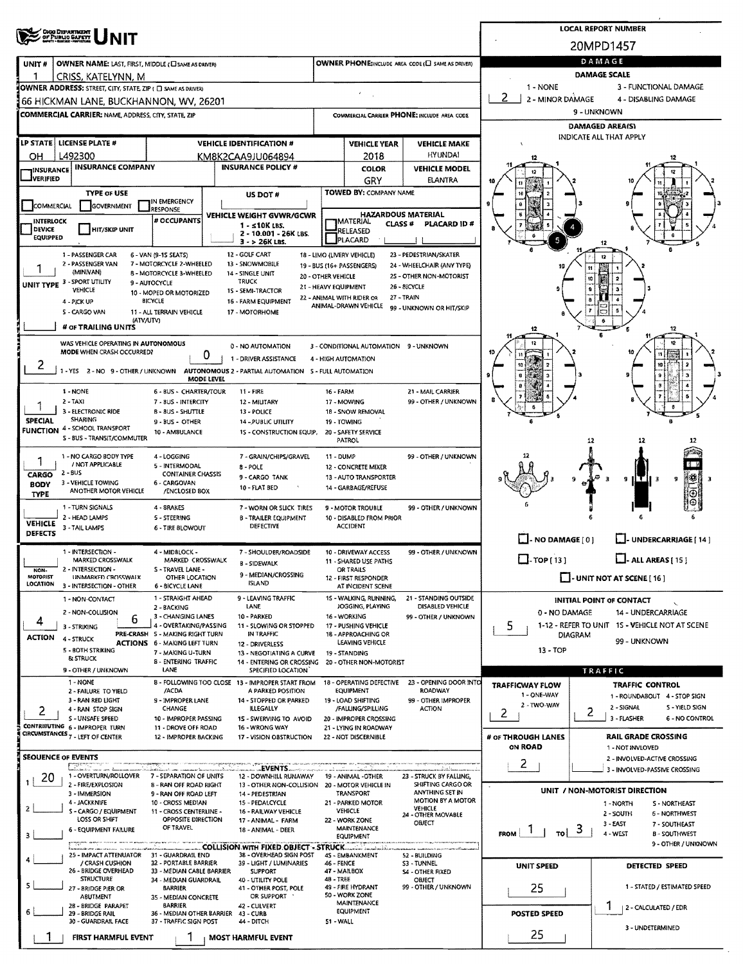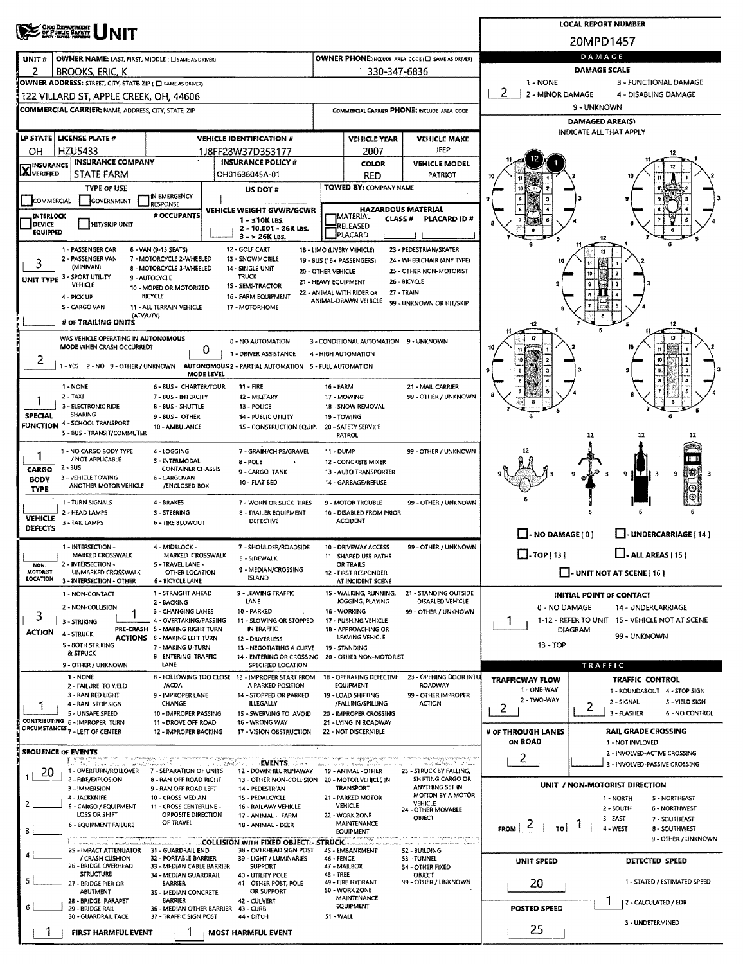